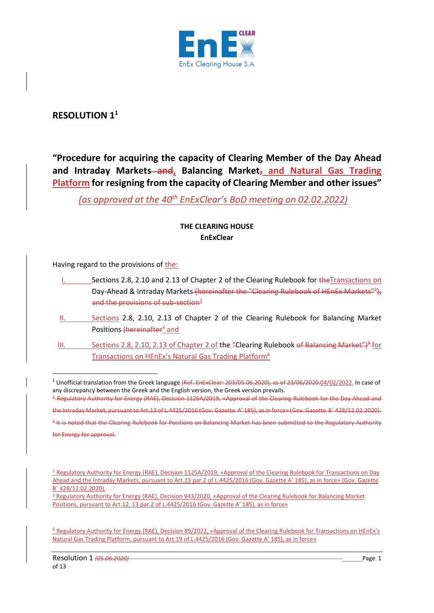

# **RESOLUTION 1<sup>1</sup>**

**"Procedure for acquiring the capacity of Clearing Member of the Day Ahead and Intraday Markets and, Balancing Market, and Natural Gas Trading Platform for resigning from the capacity of Clearing Member and other issues"**

*(as approved at the 40th EnExClear's BoD meeting on 02.02.2022)*

# **THE CLEARING HOUSE EnExClear**

Having regard to the provisions of the:

- Sections 2.8, 2.10 and 2.13 of Chapter 2 of the Clearing Rulebook for the Transactions on Day-Ahead & Intraday Markets (hereinafter the "Clearing Rulebook of HEnEx Markets"<sup>2</sup>), and the provisions of sub-section<sup>3</sup>
- II. Sections 2.8, 2.10, 2.13 of Chapter 2 of the Clearing Rulebook for Balancing Market Positions (hereinafter<sup>4</sup> and
- III. Sections 2.8, 2.10, 2.13 of Chapter 2 of the "Clearing Rulebook of Balancing Market")<sup>5</sup>-for Transactions on HEnEx's Natural Gas Trading Platform<sup>6</sup>

<sup>2</sup> Regulatory Authority for Energy (RAE), Decision 1125A/2019, «Approval of the Clearing Rulebook for the Day Ahead and

3 It is noted that the Clearing Rulebook for Positions on Balancing Market has been submitted to the Regulatory Authority

<sup>3</sup> Regulatory Authority for Energy (RAE), Decision 943/2020, «Approval of the Clearing Rulebook for Balancing Market Positions, pursuant to Art.12, 13 par.2 of L.4425/2016 (Gov. Gazette Α' 185), as in force»

<sup>&</sup>lt;sup>1</sup> Unofficial translation from the Greek language (Ref. EnExClear: 203/05.06.2020), as of 23/06/2020.04/02/2022. In case of any discrepancy between the Greek and the English version, the Greek version prevails.

the Intraday Market, pursuant to Art.13 of L.4425/2016 (Gov. Gazette Α' 185), as in force» (Gov. Gazette Β΄ 428/12.02.2020).

for Energy for approval.

<sup>3</sup> Regulatory Authority for Energy (RAE), Decision 1125A/2019, «Approval of the Clearing Rulebook for Transactions on Day Ahead and the Intraday Markets, pursuant to Art.13 par.2 of L.4425/2016 (Gov. Gazette Α' 185), as in force» (Gov. Gazette Β΄ 428/12.02.2020).

<sup>6</sup> Regulatory Authority for Energy (RAE), Decision 89/2022, «Approval of the Clearing Rulebook for Transactions on HEnEx's Natural Gas Trading Platform, pursuant to Art.19 of L.4425/2016 (Gov. Gazette Α' 185), as in force»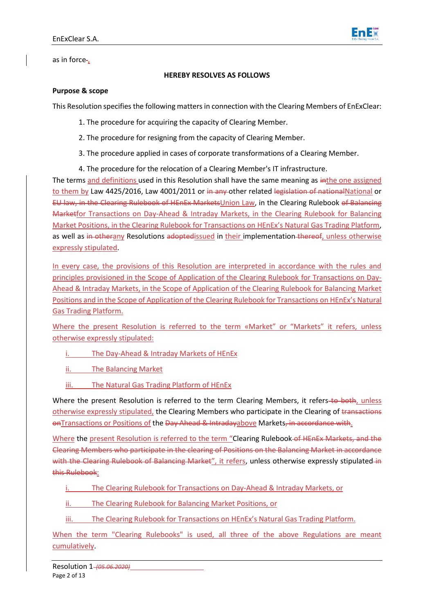

as in force-,

#### **HEREBY RESOLVES AS FOLLOWS**

#### **Purpose & scope**

This Resolution specifies the following mattersin connection with the Clearing Members of EnExClear:

- 1. The procedure for acquiring the capacity of Clearing Member.
- 2. The procedure for resigning from the capacity of Clearing Member.
- 3. The procedure applied in cases of corporate transformations of a Clearing Member.
- 4. The procedure for the relocation of a Clearing Member's IT infrastructure.

The terms and definitions used in this Resolution shall have the same meaning as in the one assigned to them by Law 4425/2016, Law 4001/2011 or in any other related legislation of nationalNational or EU law, in the Clearing Rulebook of HEnEx MarketsUnion Law, in the Clearing Rulebook of Balancing Marketfor Transactions on Day-Ahead & Intraday Markets, in the Clearing Rulebook for Balancing Market Positions, in the Clearing Rulebook for Transactions on HEnEx's Natural Gas Trading Platform, as well as in otherany Resolutions adoptedissued in their implementation thereof, unless otherwise expressly stipulated.

In every case, the provisions of this Resolution are interpreted in accordance with the rules and principles provisioned in the Scope of Application of the Clearing Rulebook for Transactions on Day-Ahead & Intraday Markets, in the Scope of Application of the Clearing Rulebook for Balancing Market Positions and in the Scope of Application of the Clearing Rulebook for Transactions on HEnEx's Natural Gas Trading Platform.

Where the present Resolution is referred to the term «Market" or "Markets" it refers, unless otherwise expressly stipulated:

i. The Day-Ahead & Intraday Markets of HEnEx

ii. The Balancing Market

iii. The Natural Gas Trading Platform of HEnEx

Where the present Resolution is referred to the term Clearing Members, it refers to both, unless otherwise expressly stipulated, the Clearing Members who participate in the Clearing of transactions onTransactions or Positions of the Day Ahead & Intradayabove Markets, in accordance with.

Where the present Resolution is referred to the term "Clearing Rulebook of HEnEx Markets, and the Clearing Members who participate in the clearing of Positions on the Balancing Market in accordance with the Clearing Rulebook of Balancing Market", it refers, unless otherwise expressly stipulated in this Rulebook:

- i. The Clearing Rulebook for Transactions on Day-Ahead & Intraday Markets, or
- ii. The Clearing Rulebook for Balancing Market Positions, or
- The Clearing Rulebook for Transactions on HEnEx's Natural Gas Trading Platform.

When the term "Clearing Rulebooks" is used, all three of the above Regulations are meant cumulatively.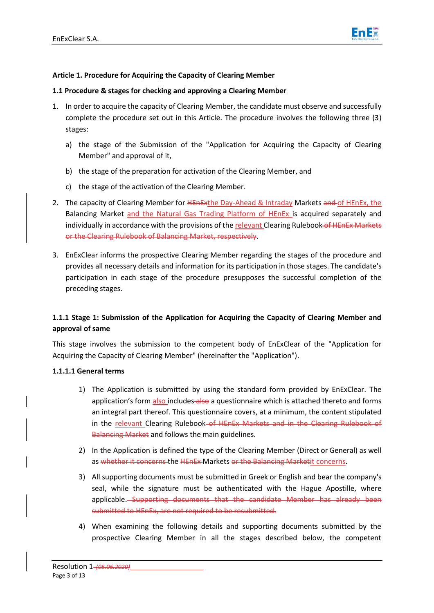

#### **Article 1. Procedure for Acquiring the Capacity of Clearing Member**

#### **1.1 Procedure & stages for checking and approving a Clearing Member**

- 1. In order to acquire the capacity of Clearing Member, the candidate must observe and successfully complete the procedure set out in this Article. The procedure involves the following three (3) stages:
	- a) the stage of the Submission of the "Application for Acquiring the Capacity of Clearing Member" and approval of it,
	- b) the stage of the preparation for activation of the Clearing Member, and
	- c) the stage of the activation of the Clearing Member.
- 2. The capacity of Clearing Member for HEnExthe Day-Ahead & Intraday Markets and of HEnEx, the Balancing Market and the Natural Gas Trading Platform of HEnEx is acquired separately and individually in accordance with the provisions of the relevant Clearing Rulebook of HENEX Markets or the Clearing Rulebook of Balancing Market, respectively.
- 3. EnExClear informs the prospective Clearing Member regarding the stages of the procedure and provides all necessary details and information for its participation in those stages. The candidate's participation in each stage of the procedure presupposes the successful completion of the preceding stages.

# **1.1.1 Stage 1: Submission of the Application for Acquiring the Capacity of Clearing Member and approval of same**

This stage involves the submission to the competent body of EnExClear of the "Application for Acquiring the Capacity of Clearing Member" (hereinafter the "Application").

#### **1.1.1.1 General terms**

- 1) The Application is submitted by using the standard form provided by EnExClear. The application's form also includes also a questionnaire which is attached thereto and forms an integral part thereof. This questionnaire covers, at a minimum, the content stipulated in the relevant Clearing Rulebook–of HEnEx Markets and in the Clearing Rulebook of Balancing Market and follows the main guidelines.
- 2) In the Application is defined the type of the Clearing Member (Direct or General) as well as whether it concerns the HEnEx Markets or the Balancing Marketit concerns.
- 3) All supporting documents must be submitted in Greek or English and bear the company's seal, while the signature must be authenticated with the Hague Apostille, where applicable. Supporting documents that the candidate Member has already been submitted to HEnEx, are not required to be resubmitted.
- 4) When examining the following details and supporting documents submitted by the prospective Clearing Member in all the stages described below, the competent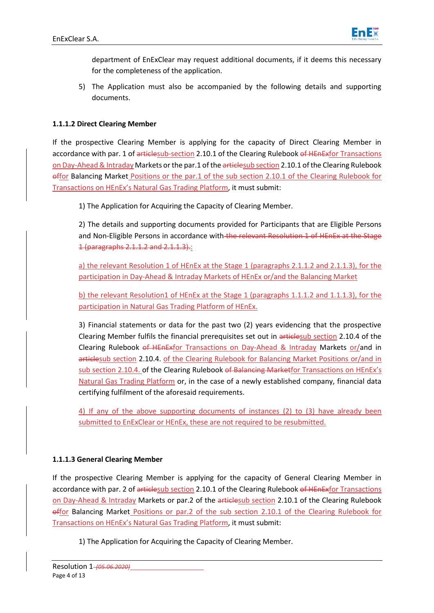

department of EnExClear may request additional documents, if it deems this necessary for the completeness of the application.

5) The Application must also be accompanied by the following details and supporting documents.

# **1.1.1.2 Direct Clearing Member**

If the prospective Clearing Member is applying for the capacity of Direct Clearing Member in accordance with par. 1 of articlesub-section 2.10.1 of the Clearing Rulebook of HEnExfor Transactions on Day-Ahead & Intraday Markets or the par.1 of the articlesub section 2.10.1 of the Clearing Rulebook offor Balancing Market Positions or the par.1 of the sub section 2.10.1 of the Clearing Rulebook for Transactions on HEnEx's Natural Gas Trading Platform, it must submit:

1) The Application for Acquiring the Capacity of Clearing Member.

2) The details and supporting documents provided for Participants that are Eligible Persons and Non-Eligible Persons in accordance with the relevant Resolution 1 of HEnEx at the Stage 1 (paragraphs 2.1.1.2 and 2.1.1.3).:

a) the relevant Resolution 1 of HEnEx at the Stage 1 (paragraphs 2.1.1.2 and 2.1.1.3), for the participation in Day-Ahead & Intraday Markets of HEnEx or/and the Balancing Market

b) the relevant Resolution1 of HEnEx at the Stage 1 (paragraphs 1.1.1.2 and 1.1.1.3), for the participation in Natural Gas Trading Platform of HEnEx.

3) Financial statements or data for the past two (2) years evidencing that the prospective Clearing Member fulfils the financial prerequisites set out in articlesub section 2.10.4 of the Clearing Rulebook of HEnExfor Transactions on Day-Ahead & Intraday Markets or/and in articlesub section 2.10.4. of the Clearing Rulebook for Balancing Market Positions or/and in sub section 2.10.4. of the Clearing Rulebook of Balancing Marketfor Transactions on HEnEx's Natural Gas Trading Platform or, in the case of a newly established company, financial data certifying fulfilment of the aforesaid requirements.

4) If any of the above supporting documents of instances (2) to (3) have already been submitted to EnExClear or HEnEx, these are not required to be resubmitted.

# **1.1.1.3 General Clearing Member**

If the prospective Clearing Member is applying for the capacity of General Clearing Member in accordance with par. 2 of articlesub section 2.10.1 of the Clearing Rulebook of HEnExfor Transactions on Day-Ahead & Intraday Markets or par.2 of the articlesub section 2.10.1 of the Clearing Rulebook offor Balancing Market Positions or par.2 of the sub section 2.10.1 of the Clearing Rulebook for Transactions on HEnEx's Natural Gas Trading Platform, it must submit:

1) The Application for Acquiring the Capacity of Clearing Member.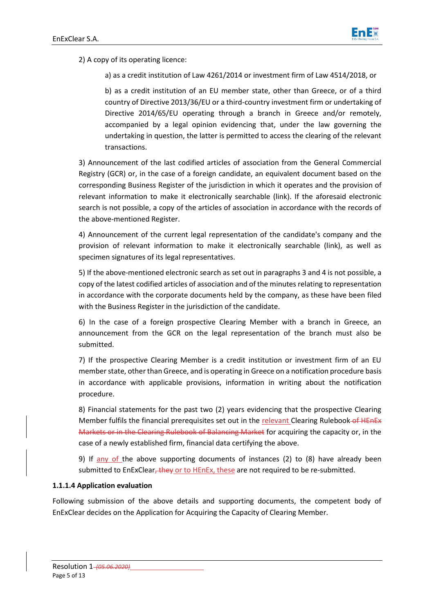

2) A copy of its operating licence:

a) as a credit institution of Law 4261/2014 or investment firm of Law 4514/2018, or

b) as a credit institution of an EU member state, other than Greece, or of a third country of Directive 2013/36/EU or a third-country investment firm or undertaking of Directive 2014/65/EU operating through a branch in Greece and/or remotely, accompanied by a legal opinion evidencing that, under the law governing the undertaking in question, the latter is permitted to access the clearing of the relevant transactions.

3) Announcement of the last codified articles of association from the General Commercial Registry (GCR) or, in the case of a foreign candidate, an equivalent document based on the corresponding Business Register of the jurisdiction in which it operates and the provision of relevant information to make it electronically searchable (link). If the aforesaid electronic search is not possible, a copy of the articles of association in accordance with the records of the above-mentioned Register.

4) Announcement of the current legal representation of the candidate's company and the provision of relevant information to make it electronically searchable (link), as well as specimen signatures of its legal representatives.

5) If the above-mentioned electronic search as set out in paragraphs 3 and 4 is not possible, a copy of the latest codified articles of association and of the minutes relating to representation in accordance with the corporate documents held by the company, as these have been filed with the Business Register in the jurisdiction of the candidate.

6) In the case of a foreign prospective Clearing Member with a branch in Greece, an announcement from the GCR on the legal representation of the branch must also be submitted.

7) If the prospective Clearing Member is a credit institution or investment firm of an EU member state, other than Greece, and is operating in Greece on a notification procedure basis in accordance with applicable provisions, information in writing about the notification procedure.

8) Financial statements for the past two (2) years evidencing that the prospective Clearing Member fulfils the financial prerequisites set out in the relevant Clearing Rulebook of HEnEx Markets or in the Clearing Rulebook of Balancing Market for acquiring the capacity or, in the case of a newly established firm, financial data certifying the above.

9) If any of the above supporting documents of instances (2) to (8) have already been submitted to EnExClear, they or to HEnEx, these are not required to be re-submitted.

#### **1.1.1.4 Application evaluation**

Following submission of the above details and supporting documents, the competent body of EnExClear decides on the Application for Acquiring the Capacity of Clearing Member.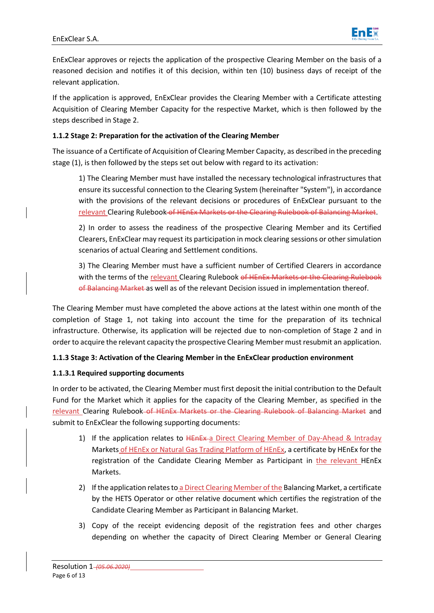

EnExClear approves or rejects the application of the prospective Clearing Member on the basis of a reasoned decision and notifies it of this decision, within ten (10) business days of receipt of the relevant application.

If the application is approved, EnExClear provides the Clearing Member with a Certificate attesting Acquisition of Clearing Member Capacity for the respective Market, which is then followed by the steps described in Stage 2.

# **1.1.2 Stage 2: Preparation for the activation of the Clearing Member**

The issuance of a Certificate of Acquisition of Clearing Member Capacity, as described in the preceding stage (1), is then followed by the steps set out below with regard to its activation:

1) The Clearing Member must have installed the necessary technological infrastructures that ensure its successful connection to the Clearing System (hereinafter "System"), in accordance with the provisions of the relevant decisions or procedures of EnExClear pursuant to the relevant Clearing Rulebook of HEnEx Markets or the Clearing Rulebook of Balancing Market.

2) In order to assess the readiness of the prospective Clearing Member and its Certified Clearers, EnExClear may request its participation in mock clearing sessions or other simulation scenarios of actual Clearing and Settlement conditions.

3) The Clearing Member must have a sufficient number of Certified Clearers in accordance with the terms of the relevant Clearing Rulebook of HEnEx Markets or the Clearing Rulebook of Balancing Market as well as of the relevant Decision issued in implementation thereof.

The Clearing Member must have completed the above actions at the latest within one month of the completion of Stage 1, not taking into account the time for the preparation of its technical infrastructure. Otherwise, its application will be rejected due to non-completion of Stage 2 and in order to acquire the relevant capacity the prospective Clearing Member must resubmit an application.

# **1.1.3 Stage 3: Activation of the Clearing Member in the EnExClear production environment**

# **1.1.3.1 Required supporting documents**

In order to be activated, the Clearing Member must first deposit the initial contribution to the Default Fund for the Market which it applies for the capacity of the Clearing Member, as specified in the relevant Clearing Rulebook of HEnEx Markets or the Clearing Rulebook of Balancing Market and submit to EnExClear the following supporting documents:

- 1) If the application relates to HEnEx a Direct Clearing Member of Day-Ahead & Intraday Markets of HEnEx or Natural Gas Trading Platform of HEnEx, a certificate by HEnEx for the registration of the Candidate Clearing Member as Participant in the relevant HEnEx Markets.
- 2) If the application relates to a Direct Clearing Member of the Balancing Market, a certificate by the HETS Operator or other relative document which certifies the registration of the Candidate Clearing Member as Participant in Balancing Market.
- 3) Copy of the receipt evidencing deposit of the registration fees and other charges depending on whether the capacity of Direct Clearing Member or General Clearing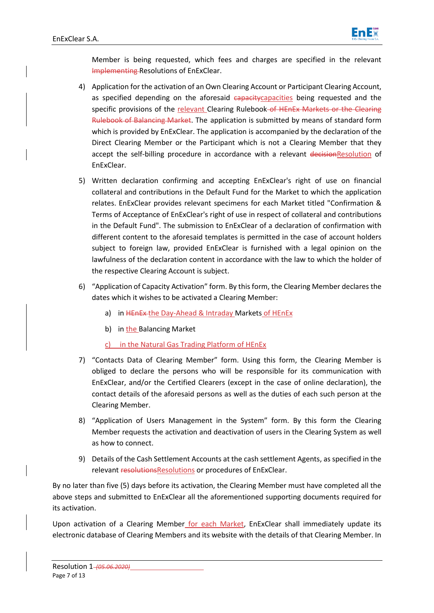

Member is being requested, which fees and charges are specified in the relevant Implementing Resolutions of EnExClear.

- 4) Application for the activation of an Own Clearing Account or Participant Clearing Account, as specified depending on the aforesaid capacity capacities being requested and the specific provisions of the relevant Clearing Rulebook of HEnEx Markets or the Clearing Rulebook of Balancing Market. The application is submitted by means of standard form which is provided by EnExClear. The application is accompanied by the declaration of the Direct Clearing Member or the Participant which is not a Clearing Member that they accept the self-billing procedure in accordance with a relevant decisionResolution of EnExClear.
- 5) Written declaration confirming and accepting EnExClear's right of use on financial collateral and contributions in the Default Fund for the Market to which the application relates. EnExClear provides relevant specimens for each Market titled "Confirmation & Terms of Acceptance of EnExClear's right of use in respect of collateral and contributions in the Default Fund". The submission to EnExClear of a declaration of confirmation with different content to the aforesaid templates is permitted in the case of account holders subject to foreign law, provided EnExClear is furnished with a legal opinion on the lawfulness of the declaration content in accordance with the law to which the holder of the respective Clearing Account is subject.
- 6) "Application of Capacity Activation" form. By this form, the Clearing Member declares the dates which it wishes to be activated a Clearing Member:
	- a) in HEnEx-the Day-Ahead & Intraday Markets of HEnEx
	- b) in the Balancing Market
	- c) in the Natural Gas Trading Platform of HEnEx
- 7) "Contacts Data of Clearing Member" form. Using this form, the Clearing Member is obliged to declare the persons who will be responsible for its communication with EnExClear, and/or the Certified Clearers (except in the case of online declaration), the contact details of the aforesaid persons as well as the duties of each such person at the Clearing Member.
- 8) "Application of Users Management in the System" form. By this form the Clearing Member requests the activation and deactivation of users in the Clearing System as well as how to connect.
- 9) Details of the Cash Settlement Accounts at the cash settlement Agents, as specified in the relevant resolutionsResolutions or procedures of EnExClear.

By no later than five (5) days before its activation, the Clearing Member must have completed all the above steps and submitted to EnExClear all the aforementioned supporting documents required for its activation.

Upon activation of a Clearing Member for each Market, EnExClear shall immediately update its electronic database of Clearing Members and its website with the details of that Clearing Member. In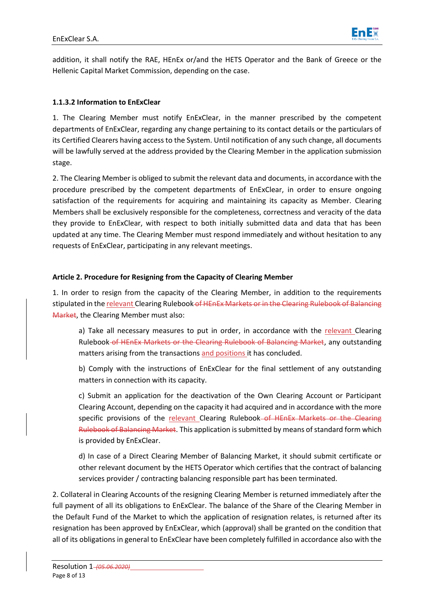

addition, it shall notify the RAE, HEnEx or/and the HETS Operator and the Bank of Greece or the Hellenic Capital Μarket Commission, depending on the case.

# **1.1.3.2 Information to EnExClear**

1. The Clearing Member must notify EnExClear, in the manner prescribed by the competent departments of EnExClear, regarding any change pertaining to its contact details or the particulars of its Certified Clearers having access to the System. Until notification of any such change, all documents will be lawfully served at the address provided by the Clearing Member in the application submission stage.

2. The Clearing Member is obliged to submit the relevant data and documents, in accordance with the procedure prescribed by the competent departments of EnExClear, in order to ensure ongoing satisfaction of the requirements for acquiring and maintaining its capacity as Member. Clearing Members shall be exclusively responsible for the completeness, correctness and veracity of the data they provide to EnExClear, with respect to both initially submitted data and data that has been updated at any time. The Clearing Member must respond immediately and without hesitation to any requests of EnExClear, participating in any relevant meetings.

# **Article 2. Procedure for Resigning from the Capacity of Clearing Member**

1. In order to resign from the capacity of the Clearing Member, in addition to the requirements stipulated in the relevant Clearing Rulebook of HEnEx Markets or in the Clearing Rulebook of Balancing Market, the Clearing Member must also:

a) Take all necessary measures to put in order, in accordance with the relevant Clearing Rulebook of HEnEx Markets or the Clearing Rulebook of Balancing Market, any outstanding matters arising from the transactions and positions it has concluded.

b) Comply with the instructions of EnExClear for the final settlement of any outstanding matters in connection with its capacity.

c) Submit an application for the deactivation of the Own Clearing Account or Participant Clearing Account, depending on the capacity it had acquired and in accordance with the more specific provisions of the relevant Clearing Rulebook of HEnEx Markets or the Clearing Rulebook of Balancing Market. This application is submitted by means of standard form which is provided by EnExClear.

d) In case of a Direct Clearing Member of Balancing Market, it should submit certificate or other relevant document by the HETS Operator which certifies that the contract of balancing services provider / contracting balancing responsible part has been terminated.

2. Collateral in Clearing Accounts of the resigning Clearing Member is returned immediately after the full payment of all its obligations to EnExClear. The balance of the Share of the Clearing Member in the Default Fund of the Market to which the application of resignation relates, is returned after its resignation has been approved by EnExClear, which (approval) shall be granted on the condition that all of its obligations in general to EnExClear have been completely fulfilled in accordance also with the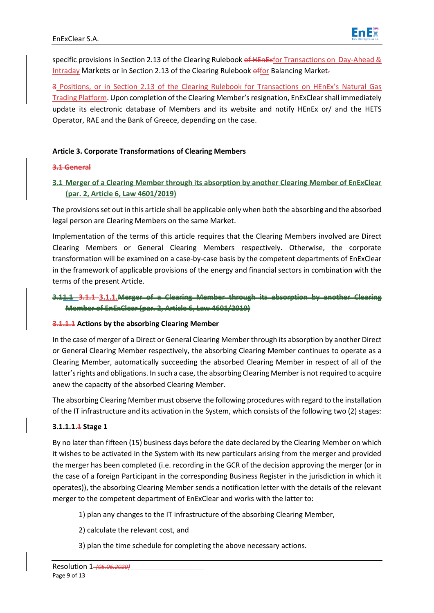

specific provisions in Section 2.13 of the Clearing Rulebook of HEnExfor Transactions on Day-Ahead & Intraday Markets or in Section 2.13 of the Clearing Rulebook offor Balancing Market.

3 Positions, or in Section 2.13 of the Clearing Rulebook for Transactions on HEnEx's Natural Gas Trading Platform. Upon completion of the Clearing Member's resignation, EnExClearshall immediately update its electronic database of Members and its website and notify HEnEx or/ and the HETS Operator, RAE and the Bank of Greece, depending on the case.

### **Article 3. Corporate Transformations of Clearing Members**

#### **3.1 General**

# **3.1 Merger of a Clearing Member through its absorption by another Clearing Member of EnExClear (par. 2, Article 6, Law 4601/2019)**

The provisions set out in this article shall be applicable only when both the absorbing and the absorbed legal person are Clearing Members on the same Market.

Implementation of the terms of this article requires that the Clearing Members involved are Direct Clearing Members or General Clearing Members respectively. Otherwise, the corporate transformation will be examined on a case-by-case basis by the competent departments of EnExClear in the framework of applicable provisions of the energy and financial sectors in combination with the terms of the present Article.

# **3.11.1 3.1.1 3.1.1.Merger of a Clearing Member through its absorption Member of EnExClear (par. 2, Article 6, Law 4601/2019)**

#### **3.1.1.1 Actions by the absorbing Clearing Member**

In the case of merger of a Direct or General Clearing Member through its absorption by another Direct or General Clearing Member respectively, the absorbing Clearing Member continues to operate as a Clearing Member, automatically succeeding the absorbed Clearing Member in respect of all of the latter's rights and obligations. In such a case, the absorbing Clearing Member is not required to acquire anew the capacity of the absorbed Clearing Member.

The absorbing Clearing Member must observe the following procedures with regard to the installation of the IT infrastructure and its activation in the System, which consists of the following two (2) stages:

#### **3.1.1.1.1 Stage 1**

By no later than fifteen (15) business days before the date declared by the Clearing Member on which it wishes to be activated in the System with its new particulars arising from the merger and provided the merger has been completed (i.e. recording in the GCR of the decision approving the merger (or in the case of a foreign Participant in the corresponding Business Register in the jurisdiction in which it operates)), the absorbing Clearing Member sends a notification letter with the details of the relevant merger to the competent department of EnExClear and works with the latter to:

- 1) plan any changes to the IT infrastructure of the absorbing Clearing Member,
- 2) calculate the relevant cost, and
- 3) plan the time schedule for completing the above necessary actions.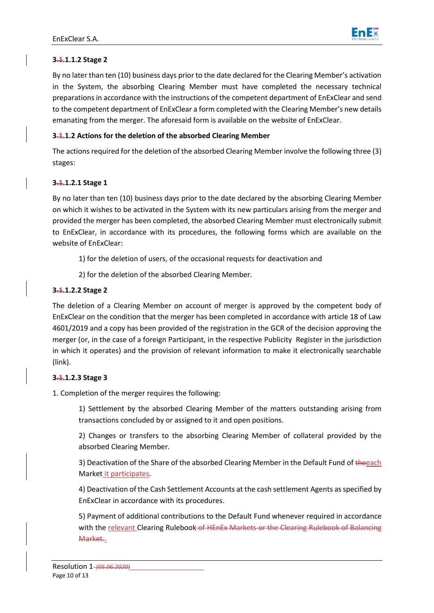

# **3.1.1.1.2 Stage 2**

By no later than ten (10) business days prior to the date declared for the Clearing Member's activation in the System, the absorbing Clearing Member must have completed the necessary technical preparations in accordance with the instructions of the competent department of EnExClear and send to the competent department of EnExClear a form completed with the Clearing Member's new details emanating from the merger. The aforesaid form is available on the website of EnExClear.

### **3.1.1.2 Actions for the deletion of the absorbed Clearing Member**

The actions required for the deletion of the absorbed Clearing Member involve the following three (3) stages:

### **3.1.1.2.1 Stage 1**

By no later than ten (10) business days prior to the date declared by the absorbing Clearing Member on which it wishes to be activated in the System with its new particulars arising from the merger and provided the merger has been completed, the absorbed Clearing Member must electronically submit to EnExClear, in accordance with its procedures, the following forms which are available on the website of EnExClear:

- 1) for the deletion of users, of the occasional requests for deactivation and
- 2) for the deletion of the absorbed Clearing Member.

### **3.1.1.2.2 Stage 2**

The deletion of a Clearing Member on account of merger is approved by the competent body of EnExClear on the condition that the merger has been completed in accordance with article 18 of Law 4601/2019 and a copy has been provided of the registration in the GCR of the decision approving the merger (or, in the case of a foreign Participant, in the respective Publicity Register in the jurisdiction in which it operates) and the provision of relevant information to make it electronically searchable (link).

#### **3.1.1.2.3 Stage 3**

1. Completion of the merger requires the following:

1) Settlement by the absorbed Clearing Member of the matters outstanding arising from transactions concluded by or assigned to it and open positions.

2) Changes or transfers to the absorbing Clearing Member of collateral provided by the absorbed Clearing Member.

3) Deactivation of the Share of the absorbed Clearing Member in the Default Fund of theeach Market it participates.

4) Deactivation of the Cash Settlement Accounts at the cash settlement Agents as specified by EnExClear in accordance with its procedures.

5) Payment of additional contributions to the Default Fund whenever required in accordance with the relevant Clearing Rulebook of HEnEx Markets or the Clearing Rulebook of Balancing Market..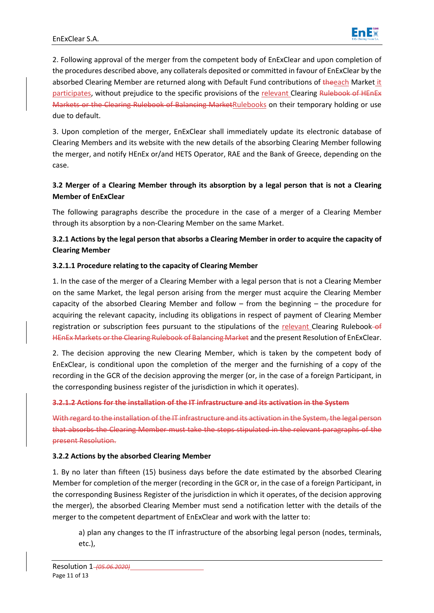

2. Following approval of the merger from the competent body of EnExClear and upon completion of the procedures described above, any collaterals deposited or committed in favour of EnExClear by the absorbed Clearing Member are returned along with Default Fund contributions of theeach Market it participates, without prejudice to the specific provisions of the relevant Clearing Rulebook of HEnEx Markets or the Clearing Rulebook of Balancing MarketRulebooks on their temporary holding or use due to default.

3. Upon completion of the merger, EnExClear shall immediately update its electronic database of Clearing Members and its website with the new details of the absorbing Clearing Member following the merger, and notify HEnEx or/and HETS Operator, RAE and the Bank of Greece, depending on the case.

# **3.2 Merger of a Clearing Member through its absorption by a legal person that is not a Clearing Member of EnExClear**

The following paragraphs describe the procedure in the case of a merger of a Clearing Member through its absorption by a non-Clearing Member on the same Market.

# **3.2.1 Actions by the legal person that absorbs a Clearing Member in order to acquire the capacity of Clearing Member**

# **3.2.1.1 Procedure relating to the capacity of Clearing Member**

1. In the case of the merger of a Clearing Member with a legal person that is not a Clearing Member on the same Market, the legal person arising from the merger must acquire the Clearing Member capacity of the absorbed Clearing Member and follow – from the beginning – the procedure for acquiring the relevant capacity, including its obligations in respect of payment of Clearing Member registration or subscription fees pursuant to the stipulations of the relevant Clearing Rulebook–of HEnEx Markets or the Clearing Rulebook of Balancing Market and the present Resolution of EnExClear.

2. The decision approving the new Clearing Member, which is taken by the competent body of EnExClear, is conditional upon the completion of the merger and the furnishing of a copy of the recording in the GCR of the decision approving the merger (or, in the case of a foreign Participant, in the corresponding business register of the jurisdiction in which it operates).

#### **3.2.1.2 Actions for the installation of the IT infrastructure and its activation in the System**

With regard to the installation of the IT infrastructure and its activation in the System, the legal person that absorbs the Clearing Member must take the steps stipulated in the relevant paragraphs of the present Resolution.

# **3.2.2 Actions by the absorbed Clearing Member**

1. By no later than fifteen (15) business days before the date estimated by the absorbed Clearing Member for completion of the merger (recording in the GCR or, in the case of a foreign Participant, in the corresponding Business Register of the jurisdiction in which it operates, of the decision approving the merger), the absorbed Clearing Member must send a notification letter with the details of the merger to the competent department of EnExClear and work with the latter to:

a) plan any changes to the IT infrastructure of the absorbing legal person (nodes, terminals, etc.),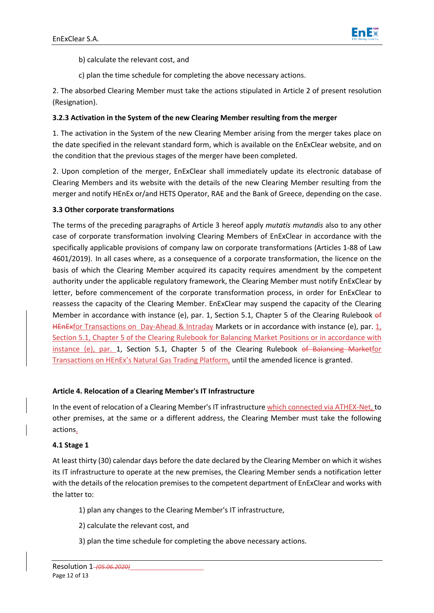

- b) calculate the relevant cost, and
- c) plan the time schedule for completing the above necessary actions.

2. The absorbed Clearing Member must take the actions stipulated in Article 2 of present resolution (Resignation).

### **3.2.3 Activation in the System of the new Clearing Member resulting from the merger**

1. The activation in the System of the new Clearing Member arising from the merger takes place on the date specified in the relevant standard form, which is available on the EnExClear website, and on the condition that the previous stages of the merger have been completed.

2. Upon completion of the merger, EnExClear shall immediately update its electronic database of Clearing Members and its website with the details of the new Clearing Member resulting from the merger and notify HEnEx or/and HETS Operator, RAE and the Bank of Greece, depending on the case.

### **3.3 Other corporate transformations**

The terms of the preceding paragraphs of Article 3 hereof apply *mutatis mutandis* also to any other case of corporate transformation involving Clearing Members of EnExClear in accordance with the specifically applicable provisions of company law on corporate transformations (Articles 1-88 of Law 4601/2019). In all cases where, as a consequence of a corporate transformation, the licence on the basis of which the Clearing Member acquired its capacity requires amendment by the competent authority under the applicable regulatory framework, the Clearing Member must notify EnExClear by letter, before commencement of the corporate transformation process, in order for EnExClear to reassess the capacity of the Clearing Member. EnExClear may suspend the capacity of the Clearing Member in accordance with instance (e), par. 1, Section 5.1, Chapter 5 of the Clearing Rulebook of HEnExfor Transactions on Day-Ahead & Intraday Markets or in accordance with instance (e), par. 1, Section 5.1, Chapter 5 of the Clearing Rulebook for Balancing Market Positions or in accordance with instance (e), par. 1, Section 5.1, Chapter 5 of the Clearing Rulebook of Balancing Marketfor Transactions on HEnEx's Natural Gas Trading Platform, until the amended licence is granted.

# **Article 4. Relocation of a Clearing Member's IT Infrastructure**

In the event of relocation of a Clearing Member's IT infrastructure which connected via ATHEX-Net, to other premises, at the same or a different address, the Clearing Member must take the following actions.

#### **4.1 Stage 1**

At least thirty (30) calendar days before the date declared by the Clearing Member on which it wishes its IT infrastructure to operate at the new premises, the Clearing Member sends a notification letter with the details of the relocation premises to the competent department of EnExClear and works with the latter to:

- 1) plan any changes to the Clearing Member's IT infrastructure,
- 2) calculate the relevant cost, and
- 3) plan the time schedule for completing the above necessary actions.